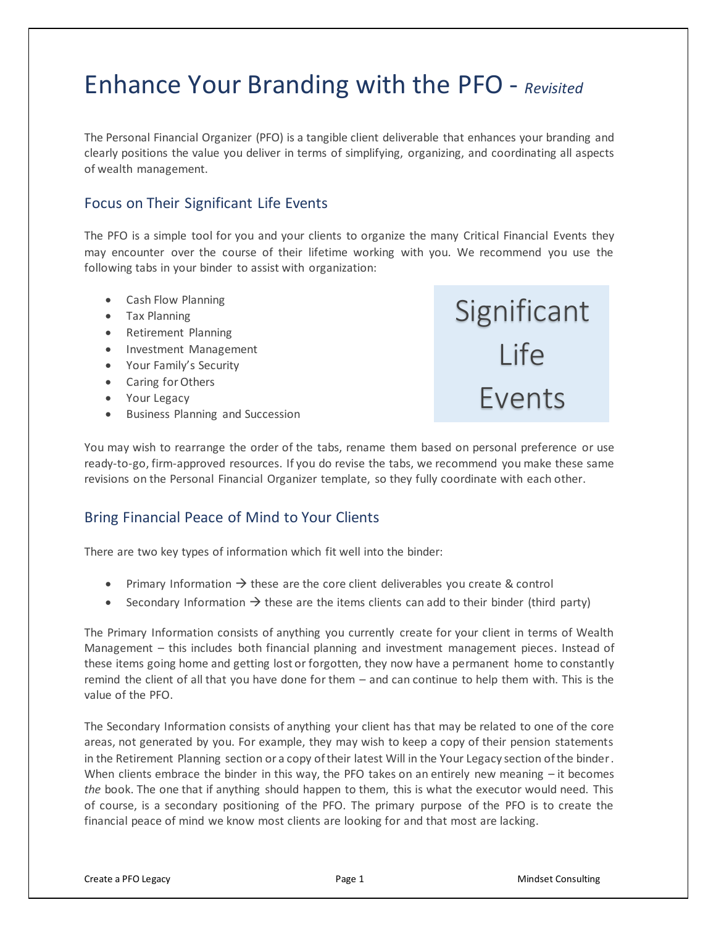# Enhance Your Branding with the PFO - *Revisited*

The Personal Financial Organizer (PFO) is a tangible client deliverable that enhances your branding and clearly positions the value you deliver in terms of simplifying, organizing, and coordinating all aspects of wealth management.

#### Focus on Their Significant Life Events

The PFO is a simple tool for you and your clients to organize the many Critical Financial Events they may encounter over the course of their lifetime working with you. We recommend you use the following tabs in your binder to assist with organization:

- Cash Flow Planning
- Tax Planning
- Retirement Planning
- Investment Management
- Your Family's Security
- Caring for Others
- Your Legacy
- Business Planning and Succession

**Significant** Life Events

You may wish to rearrange the order of the tabs, rename them based on personal preference or use ready-to-go, firm-approved resources. If you do revise the tabs, we recommend you make these same revisions on the Personal Financial Organizer template, so they fully coordinate with each other.

#### Bring Financial Peace of Mind to Your Clients

There are two key types of information which fit well into the binder:

- Primary Information  $\rightarrow$  these are the core client deliverables you create & control
- Secondary Information  $\rightarrow$  these are the items clients can add to their binder (third party)

The Primary Information consists of anything you currently create for your client in terms of Wealth Management – this includes both financial planning and investment management pieces. Instead of these items going home and getting lost or forgotten, they now have a permanent home to constantly remind the client of all that you have done for them – and can continue to help them with. This is the value of the PFO.

The Secondary Information consists of anything your client has that may be related to one of the core areas, not generated by you. For example, they may wish to keep a copy of their pension statements in the Retirement Planning section or a copy of their latest Will in the Your Legacy section of the binder. When clients embrace the binder in this way, the PFO takes on an entirely new meaning  $-$  it becomes *the* book. The one that if anything should happen to them, this is what the executor would need. This of course, is a secondary positioning of the PFO. The primary purpose of the PFO is to create the financial peace of mind we know most clients are looking for and that most are lacking.